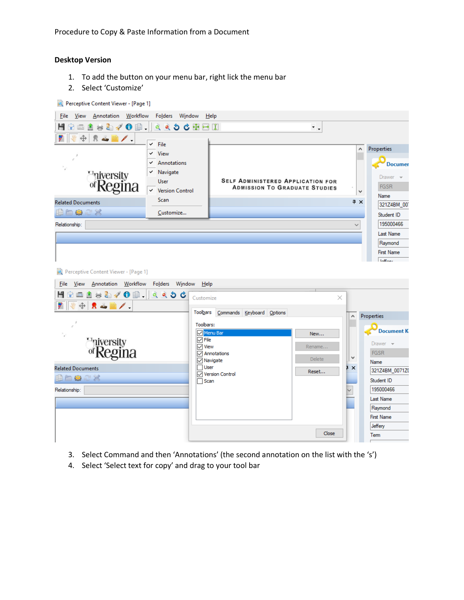## **Desktop Version**

- 1. To add the button on your menu bar, right lick the menu bar
- 2. Select 'Customize'

| Perceptive Content Viewer - [Page 1]         |                                              |                           |                                      |                                   |
|----------------------------------------------|----------------------------------------------|---------------------------|--------------------------------------|-----------------------------------|
| Annotation Workflow<br><b>File</b><br>View   | Folders<br>Window                            | Help                      |                                      |                                   |
| ☆□▲★右/●串-│<br>н                              |                                              |                           | $\overline{\phantom{a}}$ .           |                                   |
| ⊕<br>R 4                                     |                                              |                           |                                      |                                   |
|                                              | $\times$ File                                |                           |                                      | <b>Properties</b><br>٨            |
|                                              | $\times$ View<br>Annotations<br>$\checkmark$ |                           |                                      |                                   |
|                                              | $\times$ Navigate                            |                           |                                      | <b>Documer</b>                    |
|                                              | <b>User</b>                                  |                           | SELF ADMINISTERED APPLICATION FOR    | Drawer                            |
| <b><i>Fniversity</i></b><br>of <b>Regina</b> | ← Version Control                            |                           | <b>ADMISSION TO GRADUATE STUDIES</b> | <b>FGSR</b><br>v                  |
| <b>Related Documents</b>                     | <b>Scan</b>                                  |                           |                                      | Name<br>$4 \times$<br>321Z4BM_007 |
| 自白白之父                                        | Customize                                    |                           |                                      | Student ID                        |
| Relationship:                                |                                              |                           |                                      | 195000466<br>$\checkmark$         |
|                                              |                                              |                           |                                      | <b>Last Name</b>                  |
|                                              |                                              |                           |                                      | Raymond                           |
|                                              |                                              |                           |                                      | <b>First Name</b>                 |
|                                              |                                              |                           |                                      | <b>Inffanc</b>                    |
| Perceptive Content Viewer - [Page 1]         |                                              |                           |                                      |                                   |
| Annotation Workflow<br><b>Eile</b><br>View   | Folders Window                               | He                        |                                      |                                   |
| ▲ ☆ ね ∥ ① ■ │ △ △ ゝ 。<br>н<br>画              | Customize                                    |                           | ×                                    |                                   |
| ⊕<br>界当国ノー                                   | Toolbars                                     | Commands Keyboard Options |                                      |                                   |
|                                              |                                              |                           |                                      | Properties<br>Α                   |
|                                              | Toolbars:                                    | Menu Bar                  | New                                  | <b>Document K</b>                 |
|                                              | $\sqrt{$ File                                |                           |                                      | $Drawer -$                        |
| <b><i>Fniversity</i></b><br>of <b>Regina</b> | $\overline{\smile}$ View                     | Annotations               | Rename                               | <b>FGSR</b>                       |
|                                              |                                              | √ Navigate                | <b>Delete</b>                        | ٧<br>Name                         |
| <b>Related Documents</b>                     | $\Box$ User                                  | <b>▽ Version Control</b>  | Reset                                | ı<br>$\times$<br>321Z4BM_0071Z0   |
| BESCX                                        | $\Box$ Scan                                  |                           |                                      | Student ID                        |
| Relationship:                                |                                              |                           |                                      | 195000466                         |
|                                              |                                              |                           |                                      | <b>Last Name</b>                  |
|                                              |                                              |                           |                                      | Raymond<br><b>First Name</b>      |
|                                              |                                              |                           |                                      | Jeffery                           |
|                                              |                                              |                           | Close                                | Term                              |
|                                              |                                              |                           |                                      |                                   |

- 3. Select Command and then 'Annotations' (the second annotation on the list with the 's')
- 4. Select 'Select text for copy' and drag to your tool bar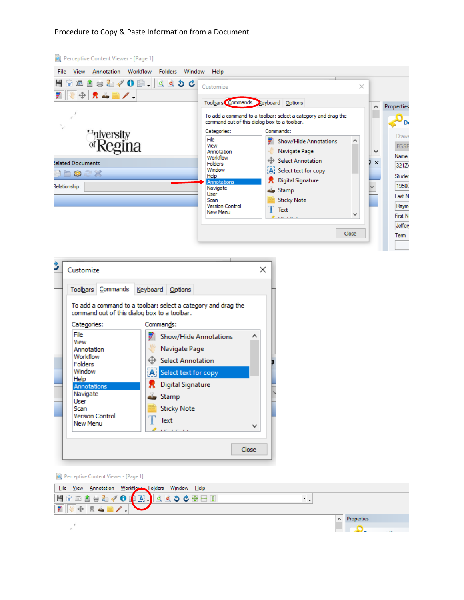## Procedure to Copy & Paste Information from a Document

| Perceptive Content Viewer - [Page 1]                                                                             |                                                                                                                                                                                                                                                                                                                   |   |                                                                                            |
|------------------------------------------------------------------------------------------------------------------|-------------------------------------------------------------------------------------------------------------------------------------------------------------------------------------------------------------------------------------------------------------------------------------------------------------------|---|--------------------------------------------------------------------------------------------|
| View Annotation Workflow Folders Window Help<br>File<br>HG - 1 <del>↓</del> 1 1 0   1 1 1 1 1 1<br>₩ ⊕ R 2 ■ / . | Customize                                                                                                                                                                                                                                                                                                         | × |                                                                                            |
| ۰,<br>Finiversity<br>egina                                                                                       | Toolbars Commands Ceyboard Options<br>To add a command to a toolbar: select a category and drag the<br>command out of this dialog box to a toolbar.<br>Commands:<br>Categories:<br>File<br>Show/Hide Annotations<br>View                                                                                          | ́ | Properties<br>D٥<br><b>Drawe</b><br><b>FGSF</b>                                            |
| lelated Documents<br>Baax<br>Relationship:                                                                       | Navigate Page<br>Annotation<br>Workflow<br><b>E</b> Select Annotation<br><b>Folders</b><br>Window<br>A Select text for copy<br>Help<br><b>Digital Signature</b><br>Annotations<br>Navigate<br>Stamp<br>User<br><b>Sticky Note</b><br>Scan<br><b>Version Control</b><br>Text<br>New Menu<br>and a series.<br>Close | v | v<br>Name<br>1x<br>321Z/<br>Studer<br>19500<br>Last N<br>Raym<br>First N<br>Jeffen<br>Term |
|                                                                                                                  |                                                                                                                                                                                                                                                                                                                   |   |                                                                                            |

 $\sim$ 

|                                    | Toolbars Commands                            |           | Keyboard Options                |                                                               |  |
|------------------------------------|----------------------------------------------|-----------|---------------------------------|---------------------------------------------------------------|--|
|                                    | command out of this dialog box to a toolbar. |           |                                 | To add a command to a toolbar: select a category and drag the |  |
| Categories:                        |                                              | Commands: |                                 |                                                               |  |
| File<br>View                       |                                              |           |                                 | Show/Hide Annotations                                         |  |
| Annotation                         |                                              |           | Navigate Page                   |                                                               |  |
| Workflow<br>Folders                |                                              |           | <b>Select Annotation</b>        |                                                               |  |
| Window                             |                                              |           | <b>All</b> Select text for copy |                                                               |  |
| Help<br>Annotations                |                                              |           | Digital Signature               |                                                               |  |
| Navigate<br>User                   |                                              |           | Stamp                           |                                                               |  |
| Scan                               |                                              |           | <b>Sticky Note</b>              |                                                               |  |
| <b>Version Control</b><br>New Menu |                                              |           | Text                            |                                                               |  |
|                                    |                                              |           | <b>STATE STATE</b>              |                                                               |  |

| Perceptive Content Viewer - [Page 1]                                                       |            |  |
|--------------------------------------------------------------------------------------------|------------|--|
|                                                                                            |            |  |
| File View Annotation Workflow Folders Window Help<br>HGC 1 3 3 4 0 4 5 4 5 4 6 5 6 6 7 8 1 |            |  |
| $\frac{1}{2}$                                                                              |            |  |
|                                                                                            | Properties |  |
|                                                                                            |            |  |
|                                                                                            |            |  |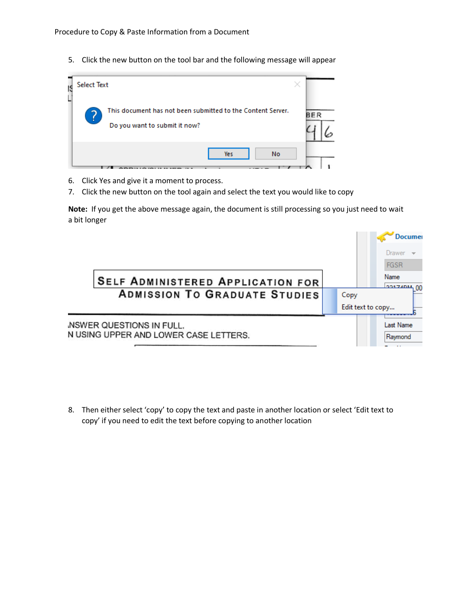5. Click the new button on the tool bar and the following message will appear



- 6. Click Yes and give it a moment to process.
- 7. Click the new button on the tool again and select the text you would like to copy

**Note:** If you get the above message again, the document is still processing so you just need to wait a bit longer



8. Then either select 'copy' to copy the text and paste in another location or select 'Edit text to copy' if you need to edit the text before copying to another location